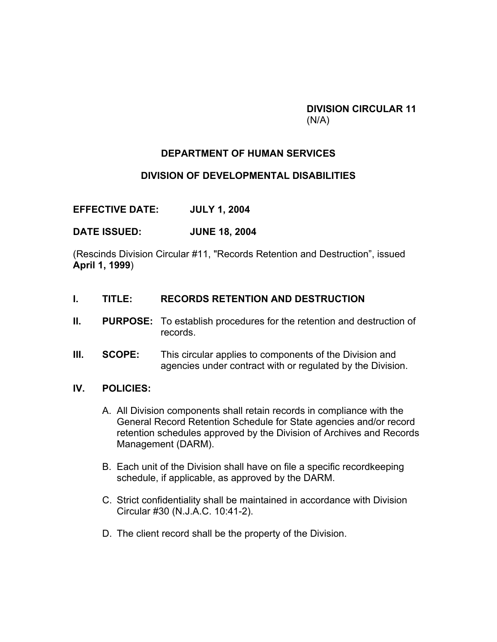**DIVISION CIRCULAR 11**   $(N/A)$ 

# **DEPARTMENT OF HUMAN SERVICES**

## **DIVISION OF DEVELOPMENTAL DISABILITIES**

**EFFECTIVE DATE: JULY 1, 2004**

### **DATE ISSUED: JUNE 18, 2004**

(Rescinds Division Circular #11, "Records Retention and Destruction", issued **April 1, 1999**)

#### **I. TITLE: RECORDS RETENTION AND DESTRUCTION**

- **II.** PURPOSE: To establish procedures for the retention and destruction of records.
- **III. SCOPE:** This circular applies to components of the Division and agencies under contract with or regulated by the Division.

#### **IV. POLICIES:**

- A. All Division components shall retain records in compliance with the General Record Retention Schedule for State agencies and/or record retention schedules approved by the Division of Archives and Records Management (DARM).
- B. Each unit of the Division shall have on file a specific recordkeeping schedule, if applicable, as approved by the DARM.
- C. Strict confidentiality shall be maintained in accordance with Division Circular #30 (N.J.A.C. 10:41-2).
- D. The client record shall be the property of the Division.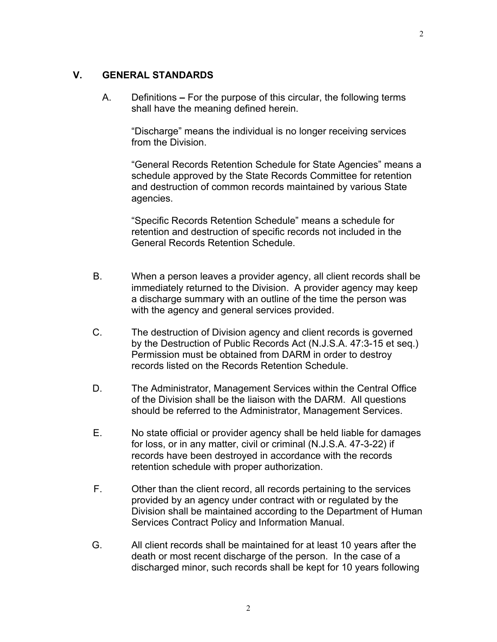## **V. GENERAL STANDARDS**

A. Definitions **–** For the purpose of this circular, the following terms shall have the meaning defined herein.

"Discharge" means the individual is no longer receiving services from the Division.

"General Records Retention Schedule for State Agencies" means a schedule approved by the State Records Committee for retention and destruction of common records maintained by various State agencies.

"Specific Records Retention Schedule" means a schedule for retention and destruction of specific records not included in the General Records Retention Schedule.

- B. When a person leaves a provider agency, all client records shall be immediately returned to the Division. A provider agency may keep a discharge summary with an outline of the time the person was with the agency and general services provided.
- C. The destruction of Division agency and client records is governed by the Destruction of Public Records Act (N.J.S.A. 47:3-15 et seq.) Permission must be obtained from DARM in order to destroy records listed on the Records Retention Schedule.
- D. The Administrator, Management Services within the Central Office of the Division shall be the liaison with the DARM. All questions should be referred to the Administrator, Management Services.
- E. No state official or provider agency shall be held liable for damages for loss, or in any matter, civil or criminal (N.J.S.A. 47-3-22) if records have been destroyed in accordance with the records retention schedule with proper authorization.
- F. Other than the client record, all records pertaining to the services provided by an agency under contract with or regulated by the Division shall be maintained according to the Department of Human Services Contract Policy and Information Manual.
- G. All client records shall be maintained for at least 10 years after the death or most recent discharge of the person. In the case of a discharged minor, such records shall be kept for 10 years following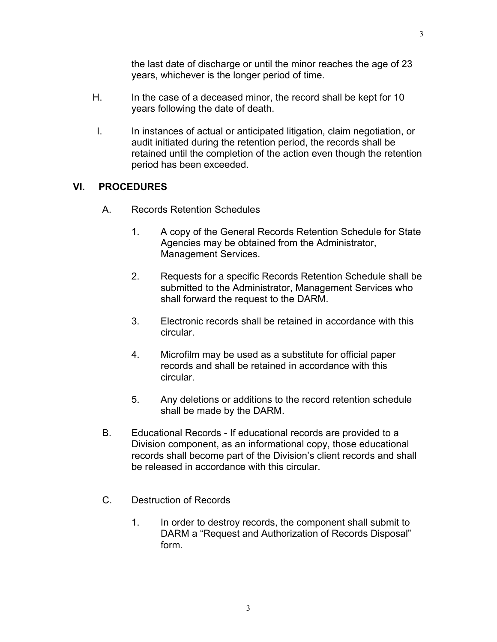the last date of discharge or until the minor reaches the age of 23 years, whichever is the longer period of time.

- H. In the case of a deceased minor, the record shall be kept for 10 years following the date of death.
- I. In instances of actual or anticipated litigation, claim negotiation, or audit initiated during the retention period, the records shall be retained until the completion of the action even though the retention period has been exceeded.

#### **VI. PROCEDURES**

- A. Records Retention Schedules
	- 1. A copy of the General Records Retention Schedule for State Agencies may be obtained from the Administrator, Management Services.
	- 2. Requests for a specific Records Retention Schedule shall be submitted to the Administrator, Management Services who shall forward the request to the DARM.
	- 3. Electronic records shall be retained in accordance with this circular.
	- 4. Microfilm may be used as a substitute for official paper records and shall be retained in accordance with this circular.
	- 5. Any deletions or additions to the record retention schedule shall be made by the DARM.
- B. Educational Records If educational records are provided to a Division component, as an informational copy, those educational records shall become part of the Division's client records and shall be released in accordance with this circular.
- C. Destruction of Records
	- 1. In order to destroy records, the component shall submit to DARM a "Request and Authorization of Records Disposal" form.